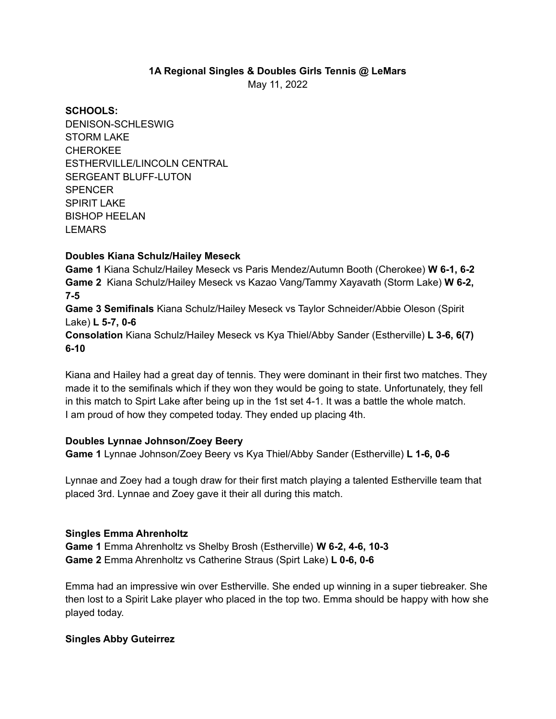#### **1A Regional Singles & Doubles Girls Tennis @ LeMars** May 11, 2022

**SCHOOLS:** DENISON-SCHLESWIG STORM LAKE CHEROKEE ESTHERVILLE/LINCOLN CENTRAL SERGEANT BLUFF-LUTON **SPENCER** SPIRIT LAKE BISHOP HEELAN LEMARS

## **Doubles Kiana Schulz/Hailey Meseck**

**Game 1** Kiana Schulz/Hailey Meseck vs Paris Mendez/Autumn Booth (Cherokee) **W 6-1, 6-2 Game 2** Kiana Schulz/Hailey Meseck vs Kazao Vang/Tammy Xayavath (Storm Lake) **W 6-2, 7-5**

**Game 3 Semifinals** Kiana Schulz/Hailey Meseck vs Taylor Schneider/Abbie Oleson (Spirit Lake) **L 5-7, 0-6**

**Consolation** Kiana Schulz/Hailey Meseck vs Kya Thiel/Abby Sander (Estherville) **L 3-6, 6(7) 6-10**

Kiana and Hailey had a great day of tennis. They were dominant in their first two matches. They made it to the semifinals which if they won they would be going to state. Unfortunately, they fell in this match to Spirt Lake after being up in the 1st set 4-1. It was a battle the whole match. I am proud of how they competed today. They ended up placing 4th.

## **Doubles Lynnae Johnson/Zoey Beery**

**Game 1** Lynnae Johnson/Zoey Beery vs Kya Thiel/Abby Sander (Estherville) **L 1-6, 0-6**

Lynnae and Zoey had a tough draw for their first match playing a talented Estherville team that placed 3rd. Lynnae and Zoey gave it their all during this match.

#### **Singles Emma Ahrenholtz**

**Game 1** Emma Ahrenholtz vs Shelby Brosh (Estherville) **W 6-2, 4-6, 10-3 Game 2** Emma Ahrenholtz vs Catherine Straus (Spirt Lake) **L 0-6, 0-6**

Emma had an impressive win over Estherville. She ended up winning in a super tiebreaker. She then lost to a Spirit Lake player who placed in the top two. Emma should be happy with how she played today.

## **Singles Abby Guteirrez**